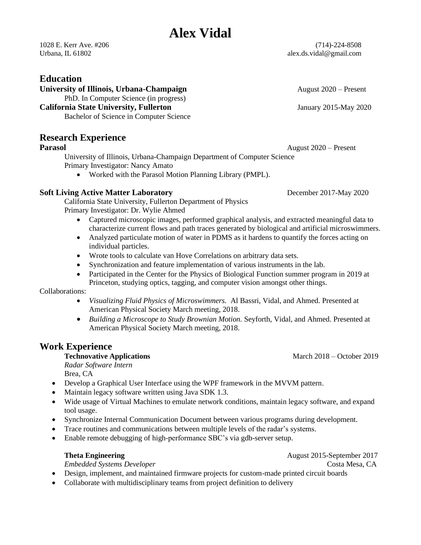## **Alex Vidal**

## **Education**

**University of Illinois, Urbana-Champaign August 2020** – Present

PhD. In Computer Science (in progress)

#### **California State University, Fullerton** January 2015-May 2020

Bachelor of Science in Computer Science

### **Research Experience**

**Parasol** August 2020 – Present

University of Illinois, Urbana-Champaign Department of Computer Science Primary Investigator: Nancy Amato

• Worked with the Parasol Motion Planning Library (PMPL).

#### **Soft Living Active Matter Laboratory** December 2017-May 2020

California State University, Fullerton Department of Physics Primary Investigator: Dr. Wylie Ahmed

- Captured microscopic images, performed graphical analysis, and extracted meaningful data to characterize current flows and path traces generated by biological and artificial microswimmers.
- Analyzed particulate motion of water in PDMS as it hardens to quantify the forces acting on individual particles.
- Wrote tools to calculate van Hove Correlations on arbitrary data sets.
- Synchronization and feature implementation of various instruments in the lab.
- Participated in the Center for the Physics of Biological Function summer program in 2019 at Princeton, studying optics, tagging, and computer vision amongst other things.

#### Collaborations:

- *Visualizing Fluid Physics of Microswimmers.* Al Bassri, Vidal, and Ahmed. Presented at American Physical Society March meeting, 2018.
- *Building a Microscope to Study Brownian Motion.* Seyforth, Vidal, and Ahmed. Presented at American Physical Society March meeting, 2018.

## **Work Experience**

### **Technovative Applications March 2018** – October 2019

*Radar Software Intern*  Brea, CA

- Develop a Graphical User Interface using the WPF framework in the MVVM pattern.
- Maintain legacy software written using Java SDK 1.3.
- Wide usage of Virtual Machines to emulate network conditions, maintain legacy software, and expand tool usage.
- Synchronize Internal Communication Document between various programs during development.
- Trace routines and communications between multiple levels of the radar's systems.
- Enable remote debugging of high-performance SBC's via gdb-server setup.

### **Theta Engineering Constanting 2017 August 2015-September 2017**

*Embedded Systems Developer* **Costa Mesa, CA** *Costa Mesa, CA Costa Mesa, CA* 

- Design, implement, and maintained firmware projects for custom-made printed circuit boards
- Collaborate with multidisciplinary teams from project definition to delivery

1028 E. Kerr Ave. #206 (714)-224-8508 Urbana, IL 61802 **alex.ds.vidal@gmail.com** alex.ds.vidal@gmail.com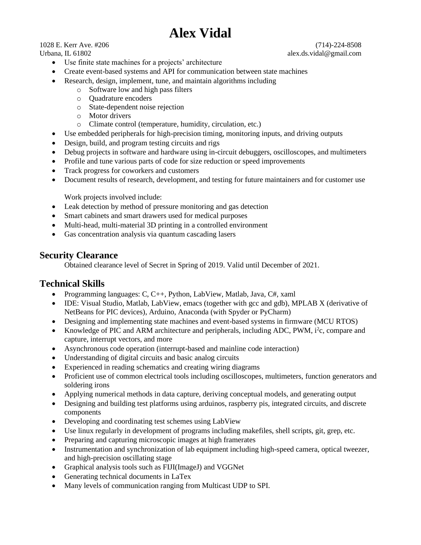# **Alex Vidal**

1028 E. Kerr Ave. #206 (714)-224-8508

• Use finite state machines for a projects' architecture

- Create event-based systems and API for communication between state machines
- Research, design, implement, tune, and maintain algorithms including
	- o Software low and high pass filters
	- o Quadrature encoders
	- o State-dependent noise rejection
	- o Motor drivers
	- o Climate control (temperature, humidity, circulation, etc.)
- Use embedded peripherals for high-precision timing, monitoring inputs, and driving outputs
- Design, build, and program testing circuits and rigs
- Debug projects in software and hardware using in-circuit debuggers, oscilloscopes, and multimeters
- Profile and tune various parts of code for size reduction or speed improvements
- Track progress for coworkers and customers
- Document results of research, development, and testing for future maintainers and for customer use

Work projects involved include:

- Leak detection by method of pressure monitoring and gas detection
- Smart cabinets and smart drawers used for medical purposes
- Multi-head, multi-material 3D printing in a controlled environment
- Gas concentration analysis via quantum cascading lasers

### **Security Clearance**

Obtained clearance level of Secret in Spring of 2019. Valid until December of 2021.

### **Technical Skills**

- Programming languages: C, C++, Python, LabView, Matlab, Java, C#, xaml
- IDE: Visual Studio, Matlab, LabView, emacs (together with gcc and gdb), MPLAB X (derivative of NetBeans for PIC devices), Arduino, Anaconda (with Spyder or PyCharm)
- Designing and implementing state machines and event-based systems in firmware (MCU RTOS)
- Knowledge of PIC and ARM architecture and peripherals, including ADC, PWM, i<sup>2</sup>c, compare and capture, interrupt vectors, and more
- Asynchronous code operation (interrupt-based and mainline code interaction)
- Understanding of digital circuits and basic analog circuits
- Experienced in reading schematics and creating wiring diagrams
- Proficient use of common electrical tools including oscilloscopes, multimeters, function generators and soldering irons
- Applying numerical methods in data capture, deriving conceptual models, and generating output
- Designing and building test platforms using arduinos, raspberry pis, integrated circuits, and discrete components
- Developing and coordinating test schemes using LabView
- Use linux regularly in development of programs including makefiles, shell scripts, git, grep, etc.
- Preparing and capturing microscopic images at high framerates
- Instrumentation and synchronization of lab equipment including high-speed camera, optical tweezer, and high-precision oscillating stage
- Graphical analysis tools such as FIJI(ImageJ) and VGGNet
- Generating technical documents in LaTex
- Many levels of communication ranging from Multicast UDP to SPI.

Urbana, IL 61802 alex.ds.vidal@gmail.com